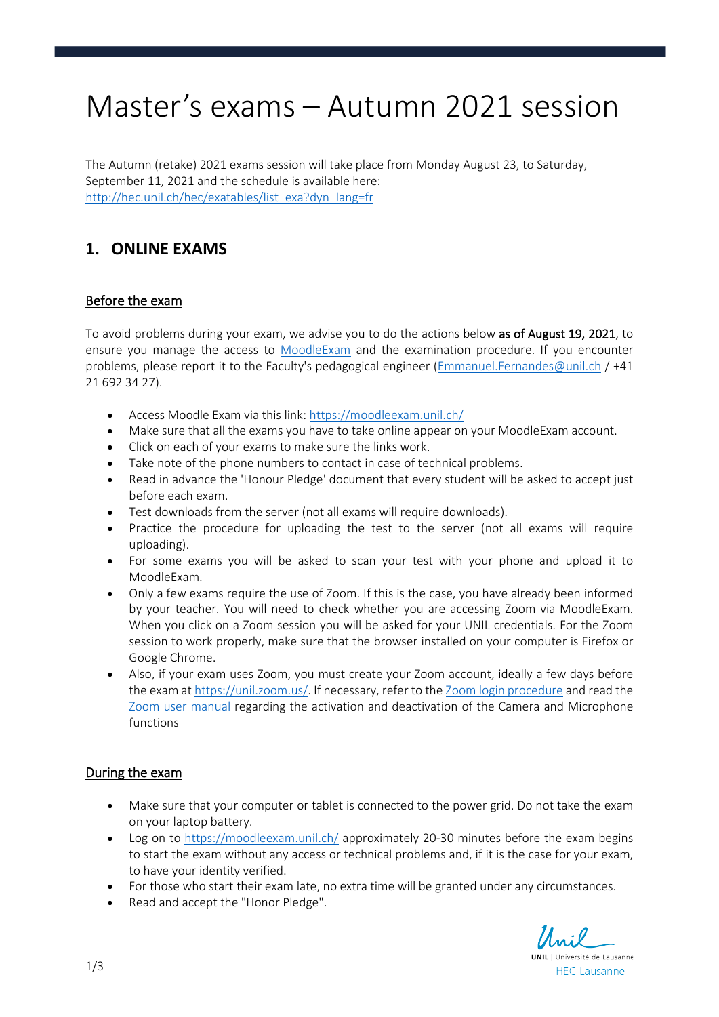# Master's exams – Autumn 2021 session

The Autumn (retake) 2021 exams session will take place from Monday August 23, to Saturday, September 11, 2021 and the schedule is available here: [http://hec.unil.ch/hec/exatables/list\\_exa?dyn\\_lang=fr](http://hec.unil.ch/hec/exatables/list_exa?dyn_lang=fr)

# **1. ONLINE EXAMS**

## Before the exam

To avoid problems during your exam, we advise you to do the actions below as of August 19, 2021, to ensure you manage the access to [MoodleExam](https://moodleexam.unil.ch/) and the examination procedure. If you encounter problems, please report it to the Faculty's pedagogical engineer [\(Emmanuel.Fernandes@unil.ch](mailto:Emmanuel.Fernandes@unil.ch) / +41 21 692 34 27).

- Access Moodle Exam via this link:<https://moodleexam.unil.ch/>
- Make sure that all the exams you have to take online appear on your MoodleExam account.
- Click on each of your exams to make sure the links work.
- Take note of the phone numbers to contact in case of technical problems.
- Read in advance the 'Honour Pledge' document that every student will be asked to accept just before each exam.
- Test downloads from the server (not all exams will require downloads).
- Practice the procedure for uploading the test to the server (not all exams will require uploading).
- For some exams you will be asked to scan your test with your phone and upload it to MoodleExam.
- Only a few exams require the use of Zoom. If this is the case, you have already been informed by your teacher. You will need to check whether you are accessing Zoom via MoodleExam. When you click on a Zoom session you will be asked for your UNIL credentials. For the Zoom session to work properly, make sure that the browser installed on your computer is Firefox or Google Chrome.
- Also, if your exam uses Zoom, you must create your Zoom account, ideally a few days before the exam at [https://unil.zoom.us/.](https://unil.zoom.us/) If necessary, refer to the [Zoom login procedure](https://www.youtube.com/watch?v=YWuXJrPsMOY&list=PLMn8MvVsX6LMwQMQ43iBJco3ReXg5E44s) and read the [Zoom user manual](https://wiki.unil.ch/cse/books/zoom/page/micro-et-webcam) regarding the activation and deactivation of the Camera and Microphone functions

### During the exam

- Make sure that your computer or tablet is connected to the power grid. Do not take the exam on your laptop battery.
- Log on to<https://moodleexam.unil.ch/> approximately 20-30 minutes before the exam begins to start the exam without any access or technical problems and, if it is the case for your exam, to have your identity verified.
- For those who start their exam late, no extra time will be granted under any circumstances.
- Read and accept the "Honor Pledge".

Unil **UNIL** | Université de Lausanne **HEC Lausanne**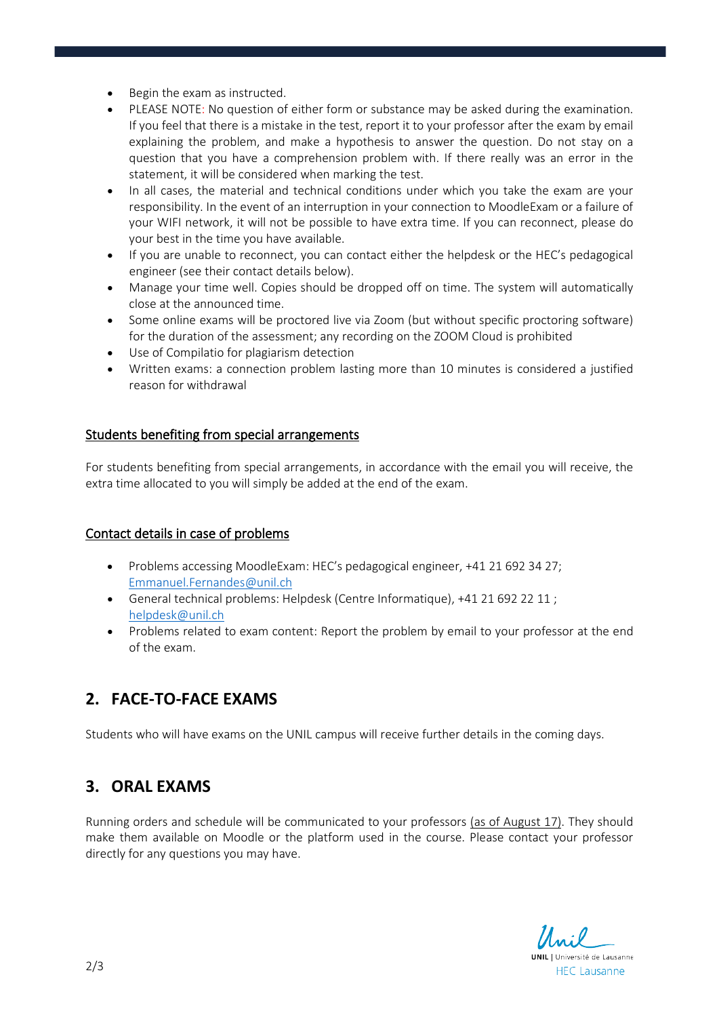- Begin the exam as instructed.
- PLEASE NOTE: No question of either form or substance may be asked during the examination. If you feel that there is a mistake in the test, report it to your professor after the exam by email explaining the problem, and make a hypothesis to answer the question. Do not stay on a question that you have a comprehension problem with. If there really was an error in the statement, it will be considered when marking the test.
- In all cases, the material and technical conditions under which you take the exam are your responsibility. In the event of an interruption in your connection to MoodleExam or a failure of your WIFI network, it will not be possible to have extra time. If you can reconnect, please do your best in the time you have available.
- If you are unable to reconnect, you can contact either the helpdesk or the HEC's pedagogical engineer (see their contact details below).
- Manage your time well. Copies should be dropped off on time. The system will automatically close at the announced time.
- Some online exams will be proctored live via Zoom (but without specific proctoring software) for the duration of the assessment; any recording on the ZOOM Cloud is prohibited
- Use of Compilatio for plagiarism detection
- Written exams: a connection problem lasting more than 10 minutes is considered a justified reason for withdrawal

#### Students benefiting from special arrangements

For students benefiting from special arrangements, in accordance with the email you will receive, the extra time allocated to you will simply be added at the end of the exam.

#### Contact details in case of problems

- Problems accessing MoodleExam: HEC's pedagogical engineer, +41 21 692 34 27; [Emmanuel.Fernandes@unil.ch](mailto:Emmanuel.Fernandes@unil.chv)
- General technical problems: Helpdesk (Centre Informatique), +41 21 692 22 11 ; [helpdesk@unil.ch](mailto:helpdesk@unil.ch)
- Problems related to exam content: Report the problem by email to your professor at the end of the exam.

## **2. FACE-TO-FACE EXAMS**

Students who will have exams on the UNIL campus will receive further details in the coming days.

## **3. ORAL EXAMS**

Running orders and schedule will be communicated to your professors (as of August 17). They should make them available on Moodle or the platform used in the course. Please contact your professor directly for any questions you may have.

Unil **UNIL** | Université de Lausanne **HEC Lausanne**